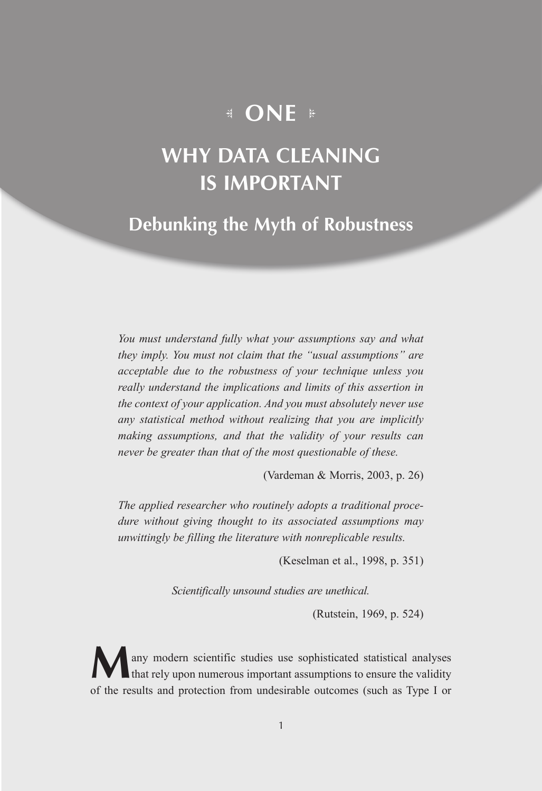## **B** ONE

# **WHY DATA CLEANING IS IMPORTANT**

**Debunking the Myth of Robustness**

*You must understand fully what your assumptions say and what they imply. You must not claim that the "usual assumptions" are acceptable due to the robustness of your technique unless you really understand the implications and limits of this assertion in the context of your application. And you must absolutely never use any statistical method without realizing that you are implicitly making assumptions, and that the validity of your results can never be greater than that of the most questionable of these.*

(Vardeman & Morris, 2003, p. 26)

*The applied researcher who routinely adopts a traditional procedure without giving thought to its associated assumptions may unwittingly be filling the literature with nonreplicable results.* 

(Keselman et al., 1998, p. 351)

*Scientifically unsound studies are unethical.* 

(Rutstein, 1969, p. 524)

**M**any modern scientific studies use sophisticated statistical analyses that rely upon numerous important assumptions to ensure the validity of the results and protection from undesirable outcomes (such as Type I or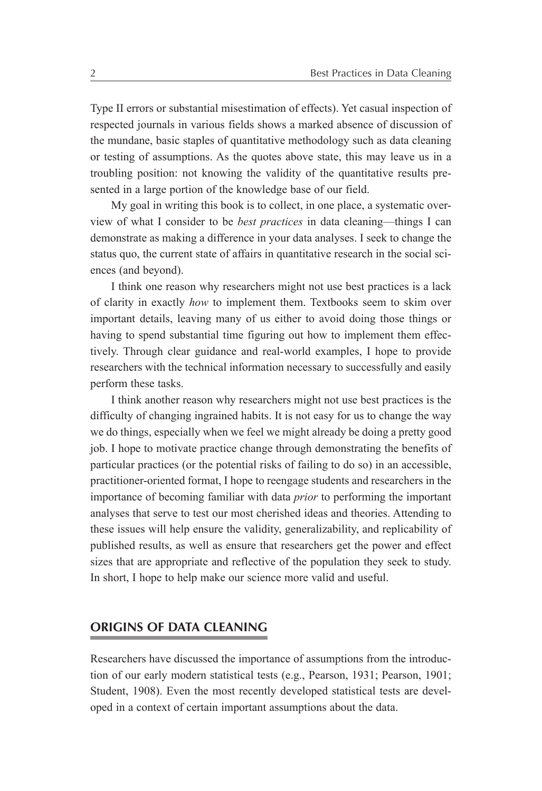Type II errors or substantial misestimation of effects). Yet casual inspection of respected journals in various fields shows a marked absence of discussion of the mundane, basic staples of quantitative methodology such as data cleaning or testing of assumptions. As the quotes above state, this may leave us in a troubling position: not knowing the validity of the quantitative results presented in a large portion of the knowledge base of our field.

My goal in writing this book is to collect, in one place, a systematic overview of what I consider to be *best practices* in data cleaning—things I can demonstrate as making a difference in your data analyses. I seek to change the status quo, the current state of affairs in quantitative research in the social sciences (and beyond).

I think one reason why researchers might not use best practices is a lack of clarity in exactly *how* to implement them. Textbooks seem to skim over important details, leaving many of us either to avoid doing those things or having to spend substantial time figuring out how to implement them effectively. Through clear guidance and real-world examples, I hope to provide researchers with the technical information necessary to successfully and easily perform these tasks.

I think another reason why researchers might not use best practices is the difficulty of changing ingrained habits. It is not easy for us to change the way we do things, especially when we feel we might already be doing a pretty good job. I hope to motivate practice change through demonstrating the benefits of particular practices (or the potential risks of failing to do so) in an accessible, practitioner-oriented format, I hope to reengage students and researchers in the importance of becoming familiar with data *prior* to performing the important analyses that serve to test our most cherished ideas and theories. Attending to these issues will help ensure the validity, generalizability, and replicability of published results, as well as ensure that researchers get the power and effect sizes that are appropriate and reflective of the population they seek to study. In short, I hope to help make our science more valid and useful.

#### **ORIGINS OF DATA CLEANING**

Researchers have discussed the importance of assumptions from the introduction of our early modern statistical tests (e.g., Pearson, 1931; Pearson, 1901; Student, 1908). Even the most recently developed statistical tests are developed in a context of certain important assumptions about the data.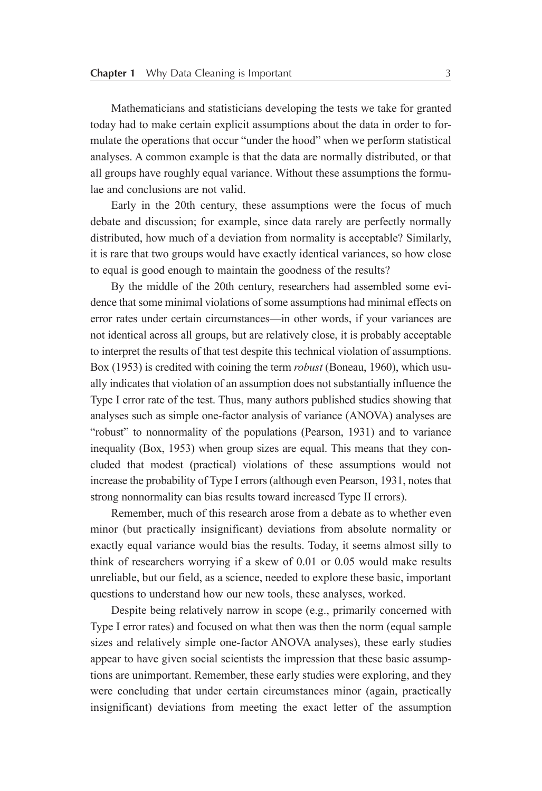Mathematicians and statisticians developing the tests we take for granted today had to make certain explicit assumptions about the data in order to formulate the operations that occur "under the hood" when we perform statistical analyses. A common example is that the data are normally distributed, or that all groups have roughly equal variance. Without these assumptions the formulae and conclusions are not valid.

Early in the 20th century, these assumptions were the focus of much debate and discussion; for example, since data rarely are perfectly normally distributed, how much of a deviation from normality is acceptable? Similarly, it is rare that two groups would have exactly identical variances, so how close to equal is good enough to maintain the goodness of the results?

By the middle of the 20th century, researchers had assembled some evidence that some minimal violations of some assumptions had minimal effects on error rates under certain circumstances—in other words, if your variances are not identical across all groups, but are relatively close, it is probably acceptable to interpret the results of that test despite this technical violation of assumptions. Box (1953) is credited with coining the term *robust* (Boneau, 1960), which usually indicates that violation of an assumption does not substantially influence the Type I error rate of the test. Thus, many authors published studies showing that analyses such as simple one-factor analysis of variance (ANOVA) analyses are "robust" to nonnormality of the populations (Pearson, 1931) and to variance inequality (Box, 1953) when group sizes are equal. This means that they concluded that modest (practical) violations of these assumptions would not increase the probability of Type I errors (although even Pearson, 1931, notes that strong nonnormality can bias results toward increased Type II errors).

Remember, much of this research arose from a debate as to whether even minor (but practically insignificant) deviations from absolute normality or exactly equal variance would bias the results. Today, it seems almost silly to think of researchers worrying if a skew of 0.01 or 0.05 would make results unreliable, but our field, as a science, needed to explore these basic, important questions to understand how our new tools, these analyses, worked.

Despite being relatively narrow in scope (e.g., primarily concerned with Type I error rates) and focused on what then was then the norm (equal sample sizes and relatively simple one-factor ANOVA analyses), these early studies appear to have given social scientists the impression that these basic assumptions are unimportant. Remember, these early studies were exploring, and they were concluding that under certain circumstances minor (again, practically insignificant) deviations from meeting the exact letter of the assumption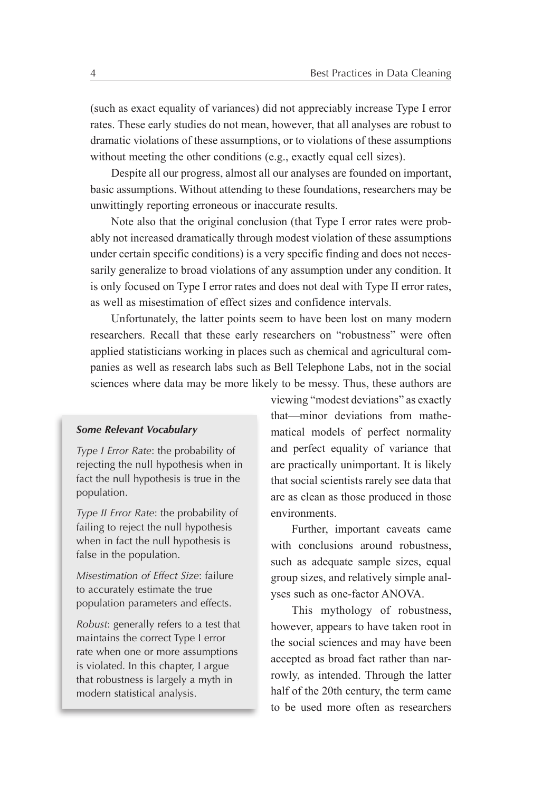(such as exact equality of variances) did not appreciably increase Type I error rates. These early studies do not mean, however, that all analyses are robust to dramatic violations of these assumptions, or to violations of these assumptions without meeting the other conditions (e.g., exactly equal cell sizes).

Despite all our progress, almost all our analyses are founded on important, basic assumptions. Without attending to these foundations, researchers may be unwittingly reporting erroneous or inaccurate results.

Note also that the original conclusion (that Type I error rates were probably not increased dramatically through modest violation of these assumptions under certain specific conditions) is a very specific finding and does not necessarily generalize to broad violations of any assumption under any condition. It is only focused on Type I error rates and does not deal with Type II error rates, as well as misestimation of effect sizes and confidence intervals.

Unfortunately, the latter points seem to have been lost on many modern researchers. Recall that these early researchers on "robustness" were often applied statisticians working in places such as chemical and agricultural companies as well as research labs such as Bell Telephone Labs, not in the social sciences where data may be more likely to be messy. Thus, these authors are

#### *Some Relevant Vocabulary*

*Type I Error Rate*: the probability of rejecting the null hypothesis when in fact the null hypothesis is true in the population.

*Type II Error Rate*: the probability of failing to reject the null hypothesis when in fact the null hypothesis is false in the population.

*Misestimation of Effect Size*: failure to accurately estimate the true population parameters and effects.

*Robust*: generally refers to a test that maintains the correct Type I error rate when one or more assumptions is violated. In this chapter, I argue that robustness is largely a myth in modern statistical analysis.

viewing "modest deviations" as exactly that—minor deviations from mathematical models of perfect normality and perfect equality of variance that are practically unimportant. It is likely that social scientists rarely see data that are as clean as those produced in those environments.

Further, important caveats came with conclusions around robustness, such as adequate sample sizes, equal group sizes, and relatively simple analyses such as one-factor ANOVA.

This mythology of robustness, however, appears to have taken root in the social sciences and may have been accepted as broad fact rather than narrowly, as intended. Through the latter half of the 20th century, the term came to be used more often as researchers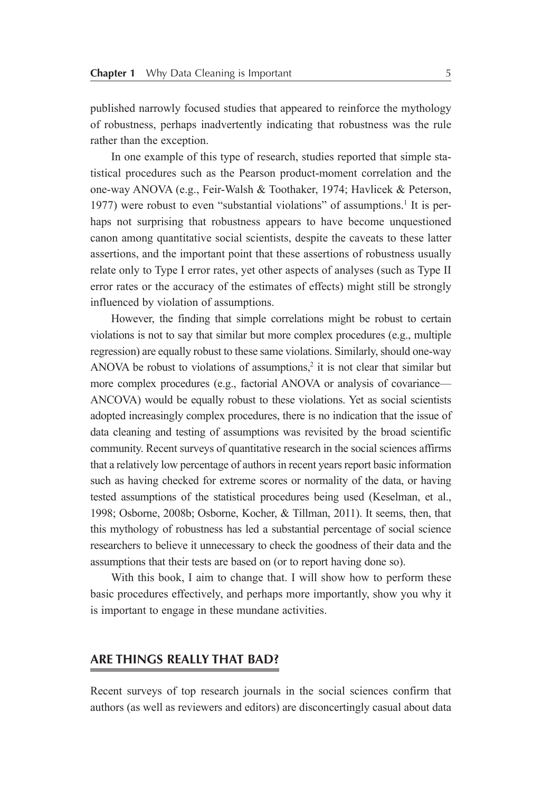published narrowly focused studies that appeared to reinforce the mythology of robustness, perhaps inadvertently indicating that robustness was the rule rather than the exception.

In one example of this type of research, studies reported that simple statistical procedures such as the Pearson product-moment correlation and the one-way ANOVA (e.g., Feir-Walsh & Toothaker, 1974; Havlicek & Peterson, 1977) were robust to even "substantial violations" of assumptions.<sup>1</sup> It is perhaps not surprising that robustness appears to have become unquestioned canon among quantitative social scientists, despite the caveats to these latter assertions, and the important point that these assertions of robustness usually relate only to Type I error rates, yet other aspects of analyses (such as Type II error rates or the accuracy of the estimates of effects) might still be strongly influenced by violation of assumptions.

However, the finding that simple correlations might be robust to certain violations is not to say that similar but more complex procedures (e.g., multiple regression) are equally robust to these same violations. Similarly, should one-way ANOVA be robust to violations of assumptions, $2$  it is not clear that similar but more complex procedures (e.g., factorial ANOVA or analysis of covariance— ANCOVA) would be equally robust to these violations. Yet as social scientists adopted increasingly complex procedures, there is no indication that the issue of data cleaning and testing of assumptions was revisited by the broad scientific community. Recent surveys of quantitative research in the social sciences affirms that a relatively low percentage of authors in recent years report basic information such as having checked for extreme scores or normality of the data, or having tested assumptions of the statistical procedures being used (Keselman, et al., 1998; Osborne, 2008b; Osborne, Kocher, & Tillman, 2011). It seems, then, that this mythology of robustness has led a substantial percentage of social science researchers to believe it unnecessary to check the goodness of their data and the assumptions that their tests are based on (or to report having done so).

With this book, I aim to change that. I will show how to perform these basic procedures effectively, and perhaps more importantly, show you why it is important to engage in these mundane activities.

#### **ARE THINGS REALLY THAT BAD?**

Recent surveys of top research journals in the social sciences confirm that authors (as well as reviewers and editors) are disconcertingly casual about data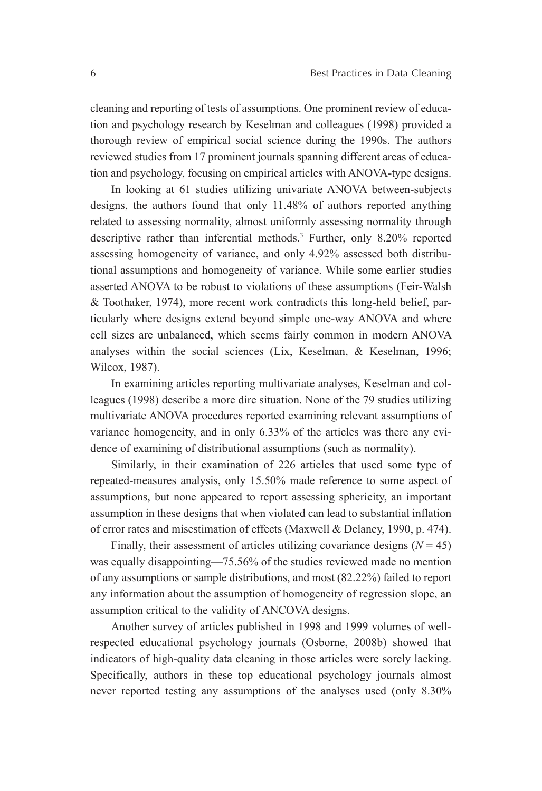cleaning and reporting of tests of assumptions. One prominent review of education and psychology research by Keselman and colleagues (1998) provided a thorough review of empirical social science during the 1990s. The authors reviewed studies from 17 prominent journals spanning different areas of education and psychology, focusing on empirical articles with ANOVA-type designs.

In looking at 61 studies utilizing univariate ANOVA between-subjects designs, the authors found that only 11.48% of authors reported anything related to assessing normality, almost uniformly assessing normality through descriptive rather than inferential methods.<sup>3</sup> Further, only 8.20% reported assessing homogeneity of variance, and only 4.92% assessed both distributional assumptions and homogeneity of variance. While some earlier studies asserted ANOVA to be robust to violations of these assumptions (Feir-Walsh & Toothaker, 1974), more recent work contradicts this long-held belief, particularly where designs extend beyond simple one-way ANOVA and where cell sizes are unbalanced, which seems fairly common in modern ANOVA analyses within the social sciences (Lix, Keselman, & Keselman, 1996; Wilcox, 1987).

In examining articles reporting multivariate analyses, Keselman and colleagues (1998) describe a more dire situation. None of the 79 studies utilizing multivariate ANOVA procedures reported examining relevant assumptions of variance homogeneity, and in only 6.33% of the articles was there any evidence of examining of distributional assumptions (such as normality).

Similarly, in their examination of 226 articles that used some type of repeated-measures analysis, only 15.50% made reference to some aspect of assumptions, but none appeared to report assessing sphericity, an important assumption in these designs that when violated can lead to substantial inflation of error rates and misestimation of effects (Maxwell & Delaney, 1990, p. 474).

Finally, their assessment of articles utilizing covariance designs  $(N = 45)$ was equally disappointing—75.56% of the studies reviewed made no mention of any assumptions or sample distributions, and most (82.22%) failed to report any information about the assumption of homogeneity of regression slope, an assumption critical to the validity of ANCOVA designs.

Another survey of articles published in 1998 and 1999 volumes of wellrespected educational psychology journals (Osborne, 2008b) showed that indicators of high-quality data cleaning in those articles were sorely lacking. Specifically, authors in these top educational psychology journals almost never reported testing any assumptions of the analyses used (only 8.30%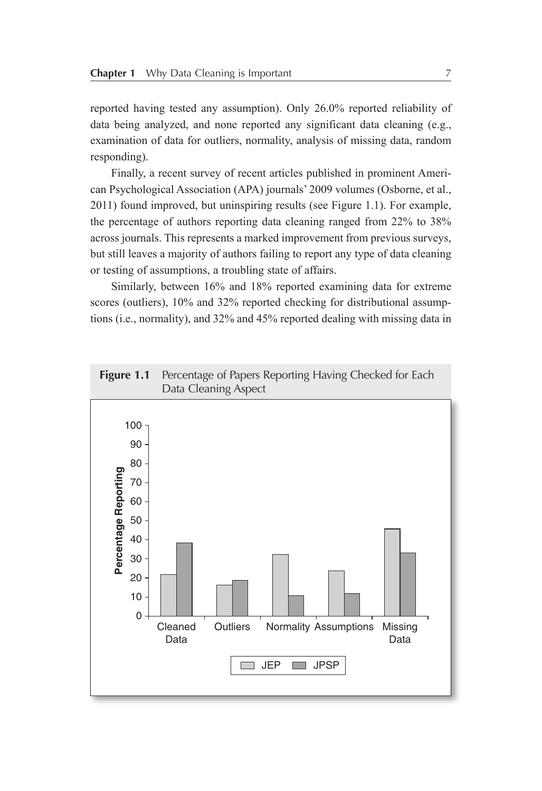reported having tested any assumption). Only 26.0% reported reliability of data being analyzed, and none reported any significant data cleaning (e.g., examination of data for outliers, normality, analysis of missing data, random responding).

Finally, a recent survey of recent articles published in prominent American Psychological Association (APA) journals' 2009 volumes (Osborne, et al., 2011) found improved, but uninspiring results (see Figure 1.1). For example, the percentage of authors reporting data cleaning ranged from 22% to 38% across journals. This represents a marked improvement from previous surveys, but still leaves a majority of authors failing to report any type of data cleaning or testing of assumptions, a troubling state of affairs.

Similarly, between 16% and 18% reported examining data for extreme scores (outliers), 10% and 32% reported checking for distributional assumptions (i.e., normality), and 32% and 45% reported dealing with missing data in



**Figure 1.1** Percentage of Papers Reporting Having Checked for Each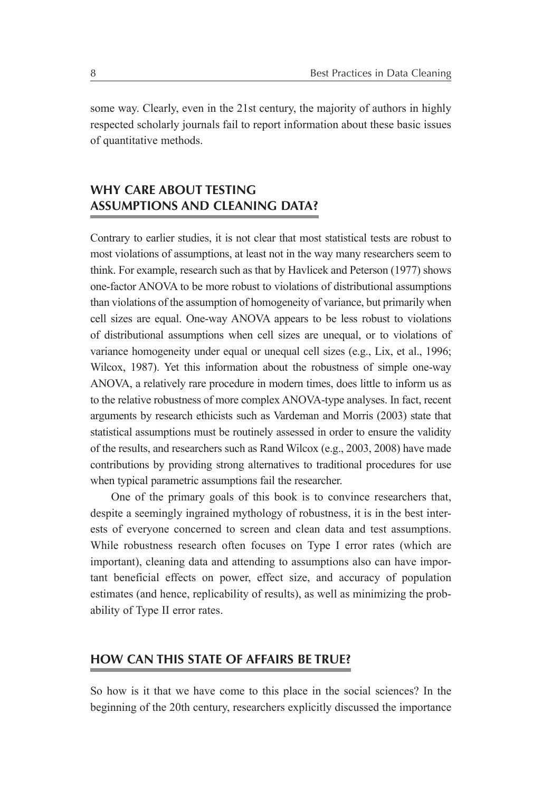some way. Clearly, even in the 21st century, the majority of authors in highly respected scholarly journals fail to report information about these basic issues of quantitative methods.

## **WHY CARE ABOUT TESTING ASSUMPTIONS AND CLEANING DATA?**

Contrary to earlier studies, it is not clear that most statistical tests are robust to most violations of assumptions, at least not in the way many researchers seem to think. For example, research such as that by Havlicek and Peterson (1977) shows one-factor ANOVA to be more robust to violations of distributional assumptions than violations of the assumption of homogeneity of variance, but primarily when cell sizes are equal. One-way ANOVA appears to be less robust to violations of distributional assumptions when cell sizes are unequal, or to violations of variance homogeneity under equal or unequal cell sizes (e.g., Lix, et al., 1996; Wilcox, 1987). Yet this information about the robustness of simple one-way ANOVA, a relatively rare procedure in modern times, does little to inform us as to the relative robustness of more complex ANOVA-type analyses. In fact, recent arguments by research ethicists such as Vardeman and Morris (2003) state that statistical assumptions must be routinely assessed in order to ensure the validity of the results, and researchers such as Rand Wilcox (e.g., 2003, 2008) have made contributions by providing strong alternatives to traditional procedures for use when typical parametric assumptions fail the researcher.

One of the primary goals of this book is to convince researchers that, despite a seemingly ingrained mythology of robustness, it is in the best interests of everyone concerned to screen and clean data and test assumptions. While robustness research often focuses on Type I error rates (which are important), cleaning data and attending to assumptions also can have important beneficial effects on power, effect size, and accuracy of population estimates (and hence, replicability of results), as well as minimizing the probability of Type II error rates.

### **HOW CAN THIS STATE OF AFFAIRS BE TRUE?**

So how is it that we have come to this place in the social sciences? In the beginning of the 20th century, researchers explicitly discussed the importance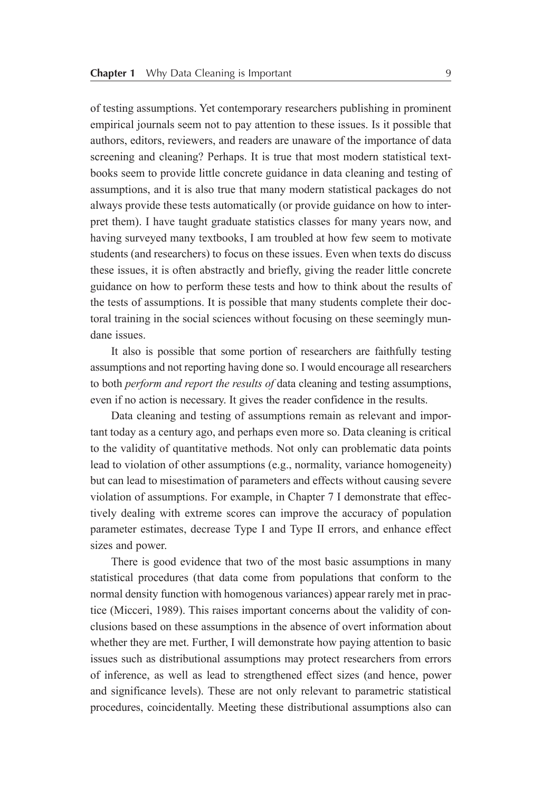of testing assumptions. Yet contemporary researchers publishing in prominent empirical journals seem not to pay attention to these issues. Is it possible that authors, editors, reviewers, and readers are unaware of the importance of data screening and cleaning? Perhaps. It is true that most modern statistical textbooks seem to provide little concrete guidance in data cleaning and testing of assumptions, and it is also true that many modern statistical packages do not always provide these tests automatically (or provide guidance on how to interpret them). I have taught graduate statistics classes for many years now, and having surveyed many textbooks, I am troubled at how few seem to motivate students (and researchers) to focus on these issues. Even when texts do discuss these issues, it is often abstractly and briefly, giving the reader little concrete guidance on how to perform these tests and how to think about the results of the tests of assumptions. It is possible that many students complete their doctoral training in the social sciences without focusing on these seemingly mundane issues.

It also is possible that some portion of researchers are faithfully testing assumptions and not reporting having done so. I would encourage all researchers to both *perform and report the results of* data cleaning and testing assumptions, even if no action is necessary. It gives the reader confidence in the results.

Data cleaning and testing of assumptions remain as relevant and important today as a century ago, and perhaps even more so. Data cleaning is critical to the validity of quantitative methods. Not only can problematic data points lead to violation of other assumptions (e.g., normality, variance homogeneity) but can lead to misestimation of parameters and effects without causing severe violation of assumptions. For example, in Chapter 7 I demonstrate that effectively dealing with extreme scores can improve the accuracy of population parameter estimates, decrease Type I and Type II errors, and enhance effect sizes and power.

There is good evidence that two of the most basic assumptions in many statistical procedures (that data come from populations that conform to the normal density function with homogenous variances) appear rarely met in practice (Micceri, 1989). This raises important concerns about the validity of conclusions based on these assumptions in the absence of overt information about whether they are met. Further, I will demonstrate how paying attention to basic issues such as distributional assumptions may protect researchers from errors of inference, as well as lead to strengthened effect sizes (and hence, power and significance levels). These are not only relevant to parametric statistical procedures, coincidentally. Meeting these distributional assumptions also can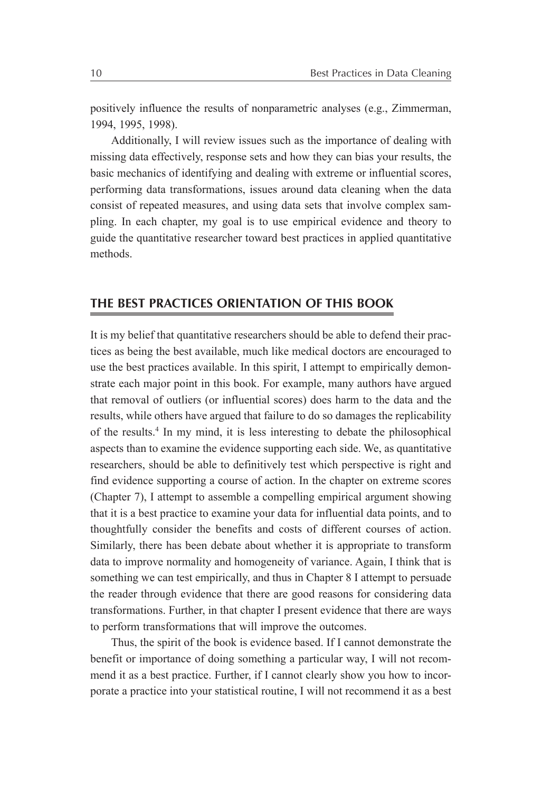positively influence the results of nonparametric analyses (e.g., Zimmerman, 1994, 1995, 1998).

Additionally, I will review issues such as the importance of dealing with missing data effectively, response sets and how they can bias your results, the basic mechanics of identifying and dealing with extreme or influential scores, performing data transformations, issues around data cleaning when the data consist of repeated measures, and using data sets that involve complex sampling. In each chapter, my goal is to use empirical evidence and theory to guide the quantitative researcher toward best practices in applied quantitative methods.

#### **THE BEST PRACTICES ORIENTATION OF THIS BOOK**

It is my belief that quantitative researchers should be able to defend their practices as being the best available, much like medical doctors are encouraged to use the best practices available. In this spirit, I attempt to empirically demonstrate each major point in this book. For example, many authors have argued that removal of outliers (or influential scores) does harm to the data and the results, while others have argued that failure to do so damages the replicability of the results.<sup>4</sup> In my mind, it is less interesting to debate the philosophical aspects than to examine the evidence supporting each side. We, as quantitative researchers, should be able to definitively test which perspective is right and find evidence supporting a course of action. In the chapter on extreme scores (Chapter 7), I attempt to assemble a compelling empirical argument showing that it is a best practice to examine your data for influential data points, and to thoughtfully consider the benefits and costs of different courses of action. Similarly, there has been debate about whether it is appropriate to transform data to improve normality and homogeneity of variance. Again, I think that is something we can test empirically, and thus in Chapter 8 I attempt to persuade the reader through evidence that there are good reasons for considering data transformations. Further, in that chapter I present evidence that there are ways to perform transformations that will improve the outcomes.

Thus, the spirit of the book is evidence based. If I cannot demonstrate the benefit or importance of doing something a particular way, I will not recommend it as a best practice. Further, if I cannot clearly show you how to incorporate a practice into your statistical routine, I will not recommend it as a best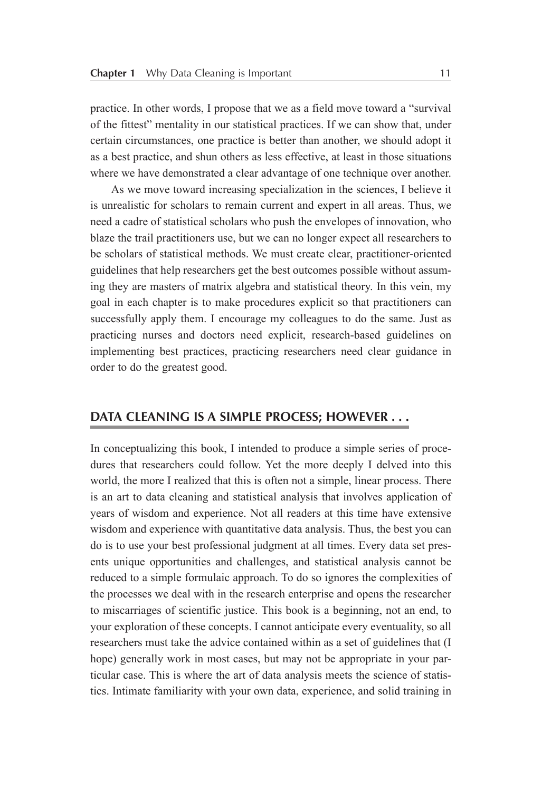practice. In other words, I propose that we as a field move toward a "survival of the fittest" mentality in our statistical practices. If we can show that, under certain circumstances, one practice is better than another, we should adopt it as a best practice, and shun others as less effective, at least in those situations where we have demonstrated a clear advantage of one technique over another.

As we move toward increasing specialization in the sciences, I believe it is unrealistic for scholars to remain current and expert in all areas. Thus, we need a cadre of statistical scholars who push the envelopes of innovation, who blaze the trail practitioners use, but we can no longer expect all researchers to be scholars of statistical methods. We must create clear, practitioner-oriented guidelines that help researchers get the best outcomes possible without assuming they are masters of matrix algebra and statistical theory. In this vein, my goal in each chapter is to make procedures explicit so that practitioners can successfully apply them. I encourage my colleagues to do the same. Just as practicing nurses and doctors need explicit, research-based guidelines on implementing best practices, practicing researchers need clear guidance in order to do the greatest good.

#### **DATA CLEANING IS A SIMPLE PROCESS; HOWEVER . . .**

In conceptualizing this book, I intended to produce a simple series of procedures that researchers could follow. Yet the more deeply I delved into this world, the more I realized that this is often not a simple, linear process. There is an art to data cleaning and statistical analysis that involves application of years of wisdom and experience. Not all readers at this time have extensive wisdom and experience with quantitative data analysis. Thus, the best you can do is to use your best professional judgment at all times. Every data set presents unique opportunities and challenges, and statistical analysis cannot be reduced to a simple formulaic approach. To do so ignores the complexities of the processes we deal with in the research enterprise and opens the researcher to miscarriages of scientific justice. This book is a beginning, not an end, to your exploration of these concepts. I cannot anticipate every eventuality, so all researchers must take the advice contained within as a set of guidelines that (I hope) generally work in most cases, but may not be appropriate in your particular case. This is where the art of data analysis meets the science of statistics. Intimate familiarity with your own data, experience, and solid training in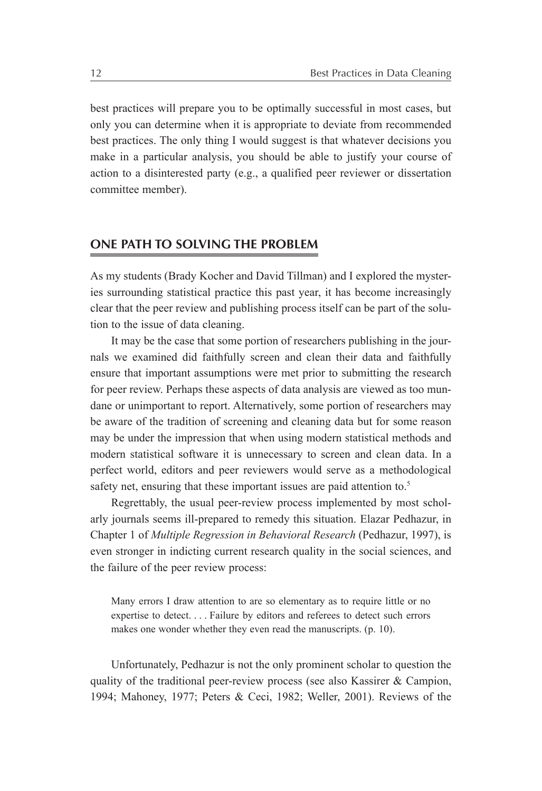best practices will prepare you to be optimally successful in most cases, but only you can determine when it is appropriate to deviate from recommended best practices. The only thing I would suggest is that whatever decisions you make in a particular analysis, you should be able to justify your course of action to a disinterested party (e.g., a qualified peer reviewer or dissertation committee member).

#### **ONE PATH TO SOLVING THE PROBLEM**

As my students (Brady Kocher and David Tillman) and I explored the mysteries surrounding statistical practice this past year, it has become increasingly clear that the peer review and publishing process itself can be part of the solution to the issue of data cleaning.

It may be the case that some portion of researchers publishing in the journals we examined did faithfully screen and clean their data and faithfully ensure that important assumptions were met prior to submitting the research for peer review. Perhaps these aspects of data analysis are viewed as too mundane or unimportant to report. Alternatively, some portion of researchers may be aware of the tradition of screening and cleaning data but for some reason may be under the impression that when using modern statistical methods and modern statistical software it is unnecessary to screen and clean data. In a perfect world, editors and peer reviewers would serve as a methodological safety net, ensuring that these important issues are paid attention to.<sup>5</sup>

Regrettably, the usual peer-review process implemented by most scholarly journals seems ill-prepared to remedy this situation. Elazar Pedhazur, in Chapter 1 of *Multiple Regression in Behavioral Research* (Pedhazur, 1997), is even stronger in indicting current research quality in the social sciences, and the failure of the peer review process:

Many errors I draw attention to are so elementary as to require little or no expertise to detect. . . . Failure by editors and referees to detect such errors makes one wonder whether they even read the manuscripts. (p. 10).

Unfortunately, Pedhazur is not the only prominent scholar to question the quality of the traditional peer-review process (see also Kassirer & Campion, 1994; Mahoney, 1977; Peters & Ceci, 1982; Weller, 2001). Reviews of the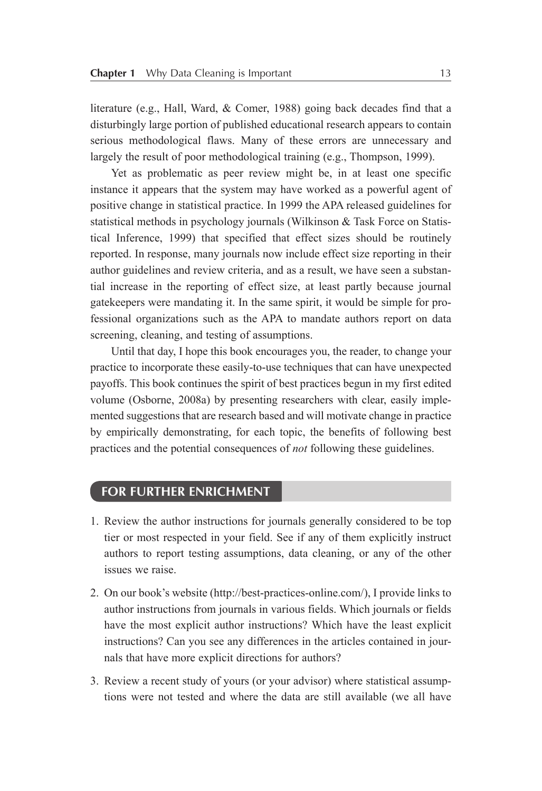literature (e.g., Hall, Ward, & Comer, 1988) going back decades find that a disturbingly large portion of published educational research appears to contain serious methodological flaws. Many of these errors are unnecessary and largely the result of poor methodological training (e.g., Thompson, 1999).

Yet as problematic as peer review might be, in at least one specific instance it appears that the system may have worked as a powerful agent of positive change in statistical practice. In 1999 the APA released guidelines for statistical methods in psychology journals (Wilkinson & Task Force on Statistical Inference, 1999) that specified that effect sizes should be routinely reported. In response, many journals now include effect size reporting in their author guidelines and review criteria, and as a result, we have seen a substantial increase in the reporting of effect size, at least partly because journal gatekeepers were mandating it. In the same spirit, it would be simple for professional organizations such as the APA to mandate authors report on data screening, cleaning, and testing of assumptions.

Until that day, I hope this book encourages you, the reader, to change your practice to incorporate these easily-to-use techniques that can have unexpected payoffs. This book continues the spirit of best practices begun in my first edited volume (Osborne, 2008a) by presenting researchers with clear, easily implemented suggestions that are research based and will motivate change in practice by empirically demonstrating, for each topic, the benefits of following best practices and the potential consequences of *not* following these guidelines.

#### **FOR FURTHER ENRICHMENT**

- 1. Review the author instructions for journals generally considered to be top tier or most respected in your field. See if any of them explicitly instruct authors to report testing assumptions, data cleaning, or any of the other issues we raise.
- 2. On our book's website (http://best-practices-online.com/), I provide links to author instructions from journals in various fields. Which journals or fields have the most explicit author instructions? Which have the least explicit instructions? Can you see any differences in the articles contained in journals that have more explicit directions for authors?
- 3. Review a recent study of yours (or your advisor) where statistical assumptions were not tested and where the data are still available (we all have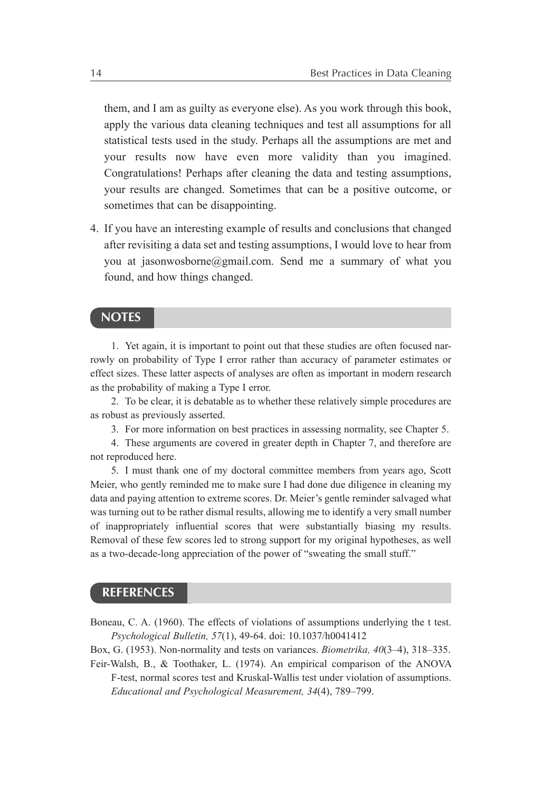them, and I am as guilty as everyone else). As you work through this book, apply the various data cleaning techniques and test all assumptions for all statistical tests used in the study. Perhaps all the assumptions are met and your results now have even more validity than you imagined. Congratulations! Perhaps after cleaning the data and testing assumptions, your results are changed. Sometimes that can be a positive outcome, or sometimes that can be disappointing.

4. If you have an interesting example of results and conclusions that changed after revisiting a data set and testing assumptions, I would love to hear from you at jasonwosborne@gmail.com. Send me a summary of what you found, and how things changed.

#### **NOTES**

1. Yet again, it is important to point out that these studies are often focused narrowly on probability of Type I error rather than accuracy of parameter estimates or effect sizes. These latter aspects of analyses are often as important in modern research as the probability of making a Type I error.

2. To be clear, it is debatable as to whether these relatively simple procedures are as robust as previously asserted.

3. For more information on best practices in assessing normality, see Chapter 5.

4. These arguments are covered in greater depth in Chapter 7, and therefore are not reproduced here.

5. I must thank one of my doctoral committee members from years ago, Scott Meier, who gently reminded me to make sure I had done due diligence in cleaning my data and paying attention to extreme scores. Dr. Meier's gentle reminder salvaged what was turning out to be rather dismal results, allowing me to identify a very small number of inappropriately influential scores that were substantially biasing my results. Removal of these few scores led to strong support for my original hypotheses, as well as a two-decade-long appreciation of the power of "sweating the small stuff."

#### **REFERENCES**

Boneau, C. A. (1960). The effects of violations of assumptions underlying the t test. *Psychological Bulletin, 57*(1), 49-64. doi: 10.1037/h0041412

Box, G. (1953). Non-normality and tests on variances. *Biometrika, 40*(3–4), 318–335.

Feir-Walsh, B., & Toothaker, L. (1974). An empirical comparison of the ANOVA F-test, normal scores test and Kruskal-Wallis test under violation of assumptions. *Educational and Psychological Measurement, 34*(4), 789–799.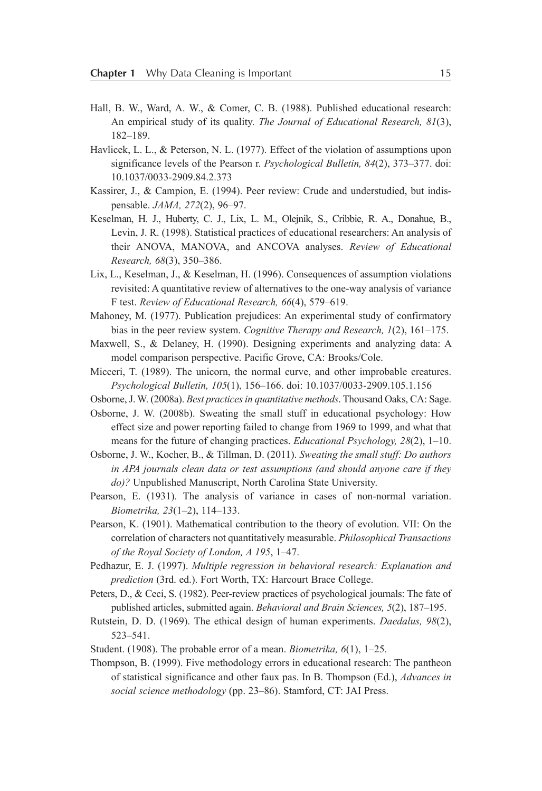- Hall, B. W., Ward, A. W., & Comer, C. B. (1988). Published educational research: An empirical study of its quality. *The Journal of Educational Research, 81*(3), 182–189.
- Havlicek, L. L., & Peterson, N. L. (1977). Effect of the violation of assumptions upon significance levels of the Pearson r. *Psychological Bulletin, 84*(2), 373–377. doi: 10.1037/0033-2909.84.2.373
- Kassirer, J., & Campion, E. (1994). Peer review: Crude and understudied, but indispensable. *JAMA, 272*(2), 96–97.
- Keselman, H. J., Huberty, C. J., Lix, L. M., Olejnik, S., Cribbie, R. A., Donahue, B., Levin, J. R. (1998). Statistical practices of educational researchers: An analysis of their ANOVA, MANOVA, and ANCOVA analyses. *Review of Educational Research, 68*(3), 350–386.
- Lix, L., Keselman, J., & Keselman, H. (1996). Consequences of assumption violations revisited: A quantitative review of alternatives to the one-way analysis of variance F test. *Review of Educational Research, 66*(4), 579–619.
- Mahoney, M. (1977). Publication prejudices: An experimental study of confirmatory bias in the peer review system. *Cognitive Therapy and Research, 1*(2), 161–175.
- Maxwell, S., & Delaney, H. (1990). Designing experiments and analyzing data: A model comparison perspective. Pacific Grove, CA: Brooks/Cole.
- Micceri, T. (1989). The unicorn, the normal curve, and other improbable creatures. *Psychological Bulletin, 105*(1), 156–166. doi: 10.1037/0033-2909.105.1.156
- Osborne, J. W. (2008a). *Best practices in quantitative methods*. Thousand Oaks, CA: Sage.
- Osborne, J. W. (2008b). Sweating the small stuff in educational psychology: How effect size and power reporting failed to change from 1969 to 1999, and what that means for the future of changing practices. *Educational Psychology, 28*(2), 1–10.
- Osborne, J. W., Kocher, B., & Tillman, D. (2011). *Sweating the small stuff: Do authors in APA journals clean data or test assumptions (and should anyone care if they do)?* Unpublished Manuscript, North Carolina State University.
- Pearson, E. (1931). The analysis of variance in cases of non-normal variation. *Biometrika, 23*(1–2), 114–133.
- Pearson, K. (1901). Mathematical contribution to the theory of evolution. VII: On the correlation of characters not quantitatively measurable. *Philosophical Transactions of the Royal Society of London, A 195*, 1–47.
- Pedhazur, E. J. (1997). *Multiple regression in behavioral research: Explanation and prediction* (3rd. ed.). Fort Worth, TX: Harcourt Brace College.
- Peters, D., & Ceci, S. (1982). Peer-review practices of psychological journals: The fate of published articles, submitted again. *Behavioral and Brain Sciences, 5*(2), 187–195.
- Rutstein, D. D. (1969). The ethical design of human experiments. *Daedalus, 98*(2), 523–541.
- Student. (1908). The probable error of a mean. *Biometrika, 6*(1), 1–25.
- Thompson, B. (1999). Five methodology errors in educational research: The pantheon of statistical significance and other faux pas. In B. Thompson (Ed.), *Advances in social science methodology* (pp. 23–86). Stamford, CT: JAI Press.